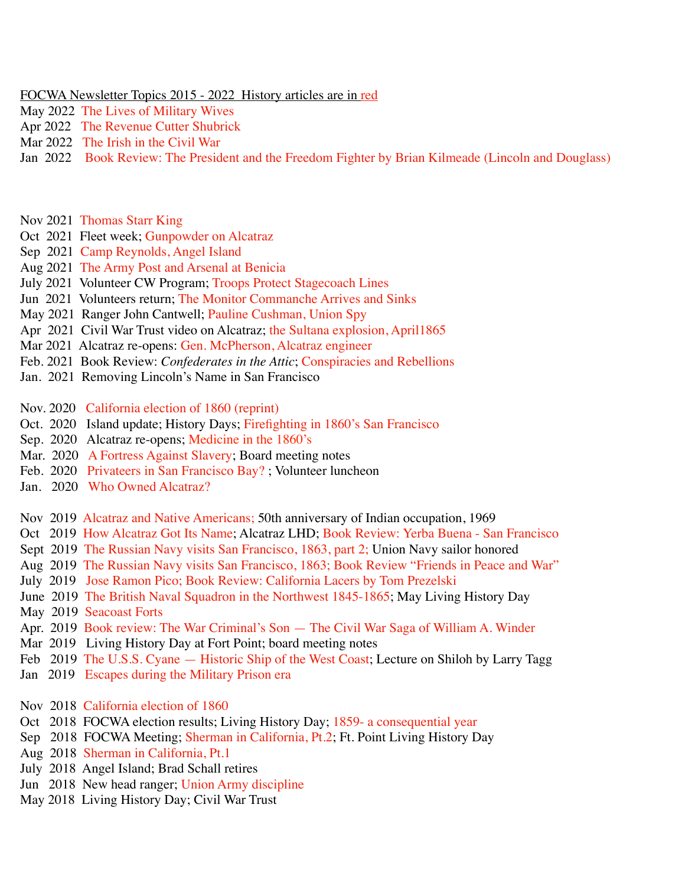## FOCWA Newsletter Topics 2015 - 2022 History articles are in red

- May 2022 The Lives of Military Wives
- Apr 2022 The Revenue Cutter Shubrick
- Mar 2022 The Irish in the Civil War
- Jan 2022 Book Review: The President and the Freedom Fighter by Brian Kilmeade (Lincoln and Douglass)
- Nov 2021 Thomas Starr King
- Oct 2021 Fleet week; Gunpowder on Alcatraz
- Sep 2021 Camp Reynolds, Angel Island
- Aug 2021 The Army Post and Arsenal at Benicia
- July 2021 Volunteer CW Program; Troops Protect Stagecoach Lines
- Jun 2021 Volunteers return; The Monitor Commanche Arrives and Sinks
- May 2021 Ranger John Cantwell; Pauline Cushman, Union Spy
- Apr 2021 Civil War Trust video on Alcatraz; the Sultana explosion, April1865
- Mar 2021 Alcatraz re-opens: Gen. McPherson, Alcatraz engineer
- Feb. 2021 Book Review: *Confederates in the Attic*; Conspiracies and Rebellions
- Jan. 2021 Removing Lincoln's Name in San Francisco

Nov. 2020 California election of 1860 (reprint)

- Oct. 2020 Island update; History Days; Firefighting in 1860's San Francisco
- Sep. 2020 Alcatraz re-opens; Medicine in the 1860's
- Mar. 2020 A Fortress Against Slavery; Board meeting notes
- Feb. 2020 Privateers in San Francisco Bay? ; Volunteer luncheon
- Jan. 2020 Who Owned Alcatraz?
- Nov 2019 Alcatraz and Native Americans; 50th anniversary of Indian occupation, 1969
- Oct 2019 How Alcatraz Got Its Name; Alcatraz LHD; Book Review: Yerba Buena San Francisco
- Sept 2019 The Russian Navy visits San Francisco, 1863, part 2; Union Navy sailor honored
- Aug 2019 The Russian Navy visits San Francisco, 1863; Book Review "Friends in Peace and War"
- July 2019 Jose Ramon Pico; Book Review: California Lacers by Tom Prezelski
- June 2019 The British Naval Squadron in the Northwest 1845-1865; May Living History Day
- May 2019 Seacoast Forts
- Apr. 2019 Book review: The War Criminal's Son The Civil War Saga of William A. Winder
- Mar 2019 Living History Day at Fort Point; board meeting notes
- Feb 2019 The U.S.S. Cyane Historic Ship of the West Coast; Lecture on Shiloh by Larry Tagg
- Jan 2019 Escapes during the Military Prison era
- Nov 2018 California election of 1860
- Oct 2018 FOCWA election results; Living History Day; 1859- a consequential year
- Sep 2018 FOCWA Meeting; Sherman in California, Pt.2; Ft. Point Living History Day
- Aug 2018 Sherman in California, Pt.1
- July 2018 Angel Island; Brad Schall retires
- Jun 2018 New head ranger; Union Army discipline
- May 2018 Living History Day; Civil War Trust